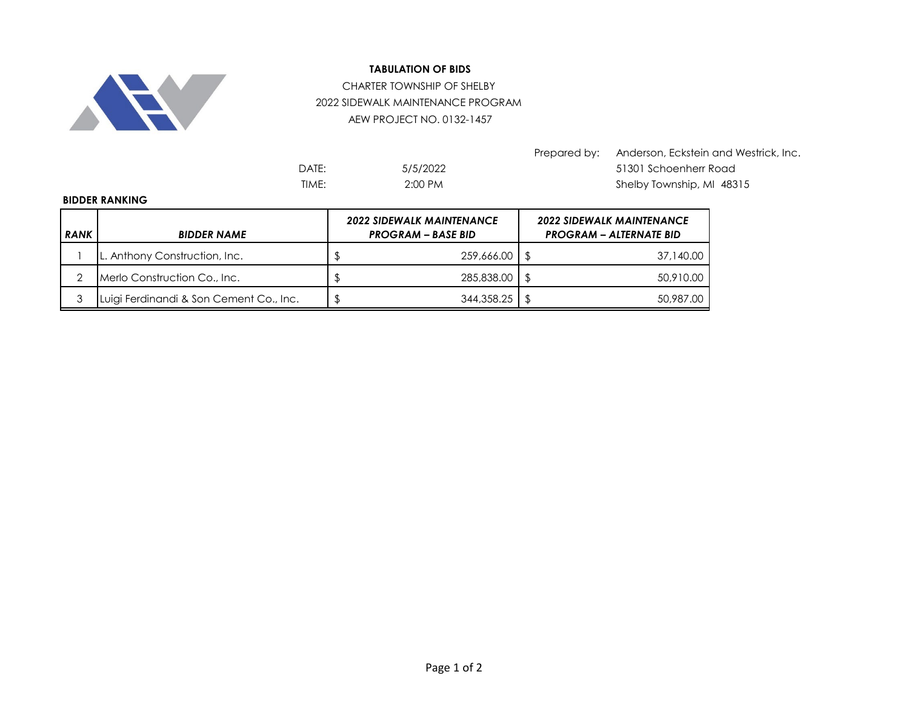

## **TABULATION OF BIDS**

## CHARTER TOWNSHIP OF SHELBY 2022 SIDEWALK MAINTENANCE PROGRAM AEW PROJECT NO. 0132-1457

5/5/2022 2:00 PM

Prepared by: Anderson, Eckstein and Westrick, Inc. DATE: 51301 Schoenherr Road TIME: 2:00 PM 2:00 PM Shelby Township, MI 48315

## **BIDDER RANKING**

| <b>RANK</b> | <b>BIDDER NAME</b>                      | <b>2022 SIDEWALK MAINTENANCE</b><br><b>PROGRAM - BASE BID</b> |            |  | <b>2022 SIDEWALK MAINTENANCE</b><br><b>PROGRAM - ALTERNATE BID</b> |  |
|-------------|-----------------------------------------|---------------------------------------------------------------|------------|--|--------------------------------------------------------------------|--|
|             | L. Anthony Construction, Inc.           |                                                               | 259,666.00 |  | 37,140.00                                                          |  |
|             | Merlo Construction Co., Inc.            |                                                               | 285,838,00 |  | 50,910.00                                                          |  |
|             | Luigi Ferdinandi & Son Cement Co., Inc. |                                                               | 344,358.25 |  | 50,987.00                                                          |  |